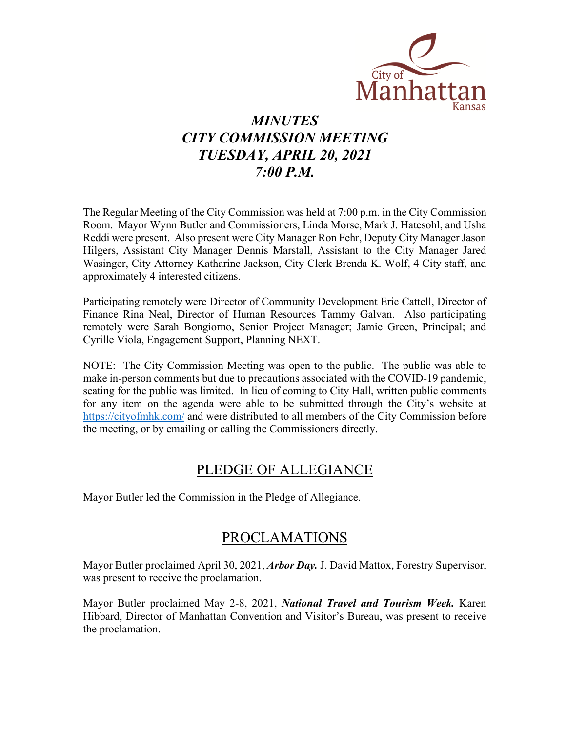

# *MINUTES CITY COMMISSION MEETING TUESDAY, APRIL 20, 2021 7:00 P.M.*

The Regular Meeting of the City Commission was held at 7:00 p.m. in the City Commission Room. Mayor Wynn Butler and Commissioners, Linda Morse, Mark J. Hatesohl, and Usha Reddi were present. Also present were City Manager Ron Fehr, Deputy City Manager Jason Hilgers, Assistant City Manager Dennis Marstall, Assistant to the City Manager Jared Wasinger, City Attorney Katharine Jackson, City Clerk Brenda K. Wolf, 4 City staff, and approximately 4 interested citizens.

Participating remotely were Director of Community Development Eric Cattell, Director of Finance Rina Neal, Director of Human Resources Tammy Galvan. Also participating remotely were Sarah Bongiorno, Senior Project Manager; Jamie Green, Principal; and Cyrille Viola, Engagement Support, Planning NEXT.

NOTE: The City Commission Meeting was open to the public. The public was able to make in-person comments but due to precautions associated with the COVID-19 pandemic, seating for the public was limited. In lieu of coming to City Hall, written public comments for any item on the agenda were able to be submitted through the City's website at [https://cityofmhk.com/](https://cityofmhk.com/and) and were distributed to all members of the City Commission before the meeting, or by emailing or calling the Commissioners directly.

# PLEDGE OF ALLEGIANCE

Mayor Butler led the Commission in the Pledge of Allegiance.

# PROCLAMATIONS

Mayor Butler proclaimed April 30, 2021, *Arbor Day.* J. David Mattox, Forestry Supervisor, was present to receive the proclamation.

Mayor Butler proclaimed May 2-8, 2021, *National Travel and Tourism Week.* Karen Hibbard, Director of Manhattan Convention and Visitor's Bureau, was present to receive the proclamation.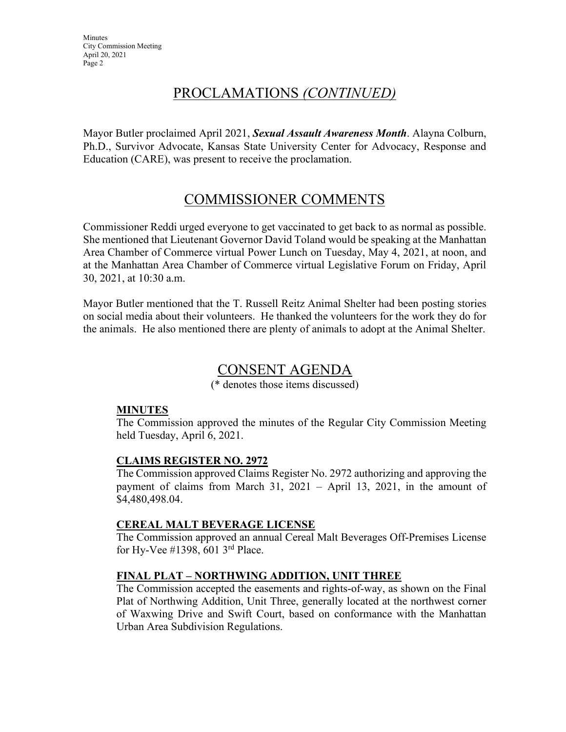# PROCLAMATIONS *(CONTINUED)*

Mayor Butler proclaimed April 2021, *Sexual Assault Awareness Month*. Alayna Colburn, Ph.D., Survivor Advocate, Kansas State University Center for Advocacy, Response and Education (CARE), was present to receive the proclamation.

# COMMISSIONER COMMENTS

Commissioner Reddi urged everyone to get vaccinated to get back to as normal as possible. She mentioned that Lieutenant Governor David Toland would be speaking at the Manhattan Area Chamber of Commerce virtual Power Lunch on Tuesday, May 4, 2021, at noon, and at the Manhattan Area Chamber of Commerce virtual Legislative Forum on Friday, April 30, 2021, at 10:30 a.m.

Mayor Butler mentioned that the T. Russell Reitz Animal Shelter had been posting stories on social media about their volunteers. He thanked the volunteers for the work they do for the animals. He also mentioned there are plenty of animals to adopt at the Animal Shelter.

## CONSENT AGENDA

(\* denotes those items discussed)

### **MINUTES**

The Commission approved the minutes of the Regular City Commission Meeting held Tuesday, April 6, 2021.

### **CLAIMS REGISTER NO. 2972**

The Commission approved Claims Register No. 2972 authorizing and approving the payment of claims from March 31, 2021 – April 13, 2021, in the amount of \$4,480,498.04.

### **CEREAL MALT BEVERAGE LICENSE**

The Commission approved an annual Cereal Malt Beverages Off-Premises License for Hy-Vee #1398, 601 3rd Place.

## **FINAL PLAT – NORTHWING ADDITION, UNIT THREE**

The Commission accepted the easements and rights-of-way, as shown on the Final Plat of Northwing Addition, Unit Three, generally located at the northwest corner of Waxwing Drive and Swift Court, based on conformance with the Manhattan Urban Area Subdivision Regulations.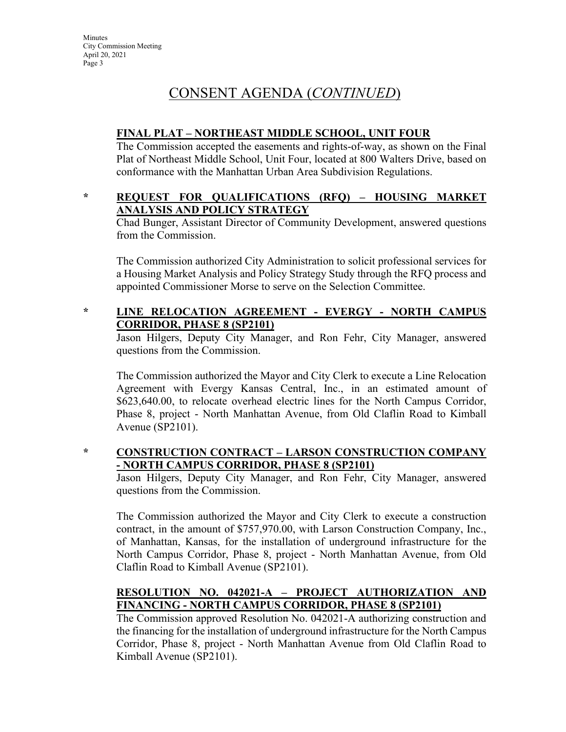# CONSENT AGENDA (*CONTINUED*)

### **FINAL PLAT – NORTHEAST MIDDLE SCHOOL, UNIT FOUR**

The Commission accepted the easements and rights-of-way, as shown on the Final Plat of Northeast Middle School, Unit Four, located at 800 Walters Drive, based on conformance with the Manhattan Urban Area Subdivision Regulations.

### **\* REQUEST FOR QUALIFICATIONS (RFQ) – HOUSING MARKET ANALYSIS AND POLICY STRATEGY**

Chad Bunger, Assistant Director of Community Development, answered questions from the Commission.

The Commission authorized City Administration to solicit professional services for a Housing Market Analysis and Policy Strategy Study through the RFQ process and appointed Commissioner Morse to serve on the Selection Committee.

## **\* LINE RELOCATION AGREEMENT - EVERGY - NORTH CAMPUS CORRIDOR, PHASE 8 (SP2101)**

Jason Hilgers, Deputy City Manager, and Ron Fehr, City Manager, answered questions from the Commission.

The Commission authorized the Mayor and City Clerk to execute a Line Relocation Agreement with Evergy Kansas Central, Inc., in an estimated amount of \$623,640.00, to relocate overhead electric lines for the North Campus Corridor, Phase 8, project - North Manhattan Avenue, from Old Claflin Road to Kimball Avenue (SP2101).

#### **\* CONSTRUCTION CONTRACT – LARSON CONSTRUCTION COMPANY - NORTH CAMPUS CORRIDOR, PHASE 8 (SP2101)**

Jason Hilgers, Deputy City Manager, and Ron Fehr, City Manager, answered questions from the Commission.

The Commission authorized the Mayor and City Clerk to execute a construction contract, in the amount of \$757,970.00, with Larson Construction Company, Inc., of Manhattan, Kansas, for the installation of underground infrastructure for the North Campus Corridor, Phase 8, project - North Manhattan Avenue, from Old Claflin Road to Kimball Avenue (SP2101).

## **RESOLUTION NO. 042021-A – PROJECT AUTHORIZATION AND FINANCING - NORTH CAMPUS CORRIDOR, PHASE 8 (SP2101)**

The Commission approved Resolution No. 042021-A authorizing construction and the financing for the installation of underground infrastructure for the North Campus Corridor, Phase 8, project - North Manhattan Avenue from Old Claflin Road to Kimball Avenue (SP2101).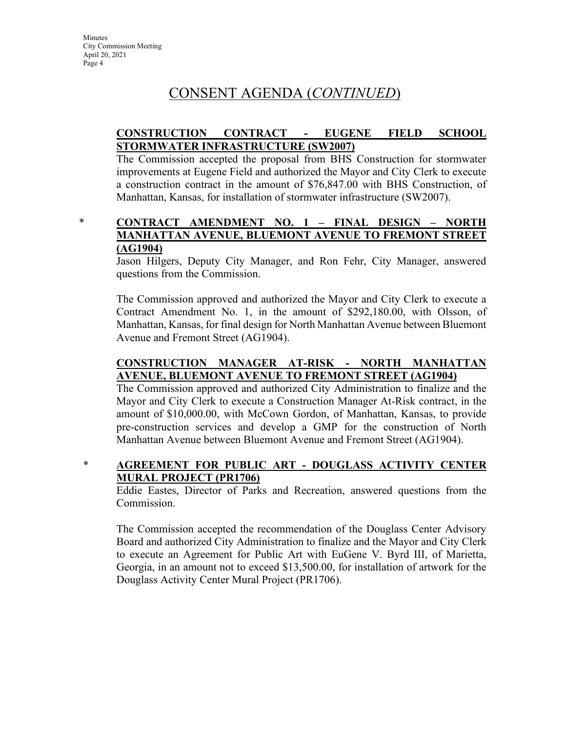# CONSENT AGENDA (*CONTINUED*)

### **CONSTRUCTION CONTRACT - EUGENE FIELD SCHOOL STORMWATER INFRASTRUCTURE (SW2007)**

The Commission accepted the proposal from BHS Construction for stormwater improvements at Eugene Field and authorized the Mayor and City Clerk to execute a construction contract in the amount of \$76,847.00 with BHS Construction, of Manhattan, Kansas, for installation of stormwater infrastructure (SW2007).

\* **CONTRACT AMENDMENT NO. 1 – FINAL DESIGN – NORTH MANHATTAN AVENUE, BLUEMONT AVENUE TO FREMONT STREET (AG1904)**

Jason Hilgers, Deputy City Manager, and Ron Fehr, City Manager, answered questions from the Commission.

The Commission approved and authorized the Mayor and City Clerk to execute a Contract Amendment No. 1, in the amount of \$292,180.00, with Olsson, of Manhattan, Kansas, for final design for North Manhattan Avenue between Bluemont Avenue and Fremont Street (AG1904).

## **CONSTRUCTION MANAGER AT-RISK - NORTH MANHATTAN AVENUE, BLUEMONT AVENUE TO FREMONT STREET (AG1904)**

The Commission approved and authorized City Administration to finalize and the Mayor and City Clerk to execute a Construction Manager At-Risk contract, in the amount of \$10,000.00, with McCown Gordon, of Manhattan, Kansas, to provide pre-construction services and develop a GMP for the construction of North Manhattan Avenue between Bluemont Avenue and Fremont Street (AG1904).

## \* **AGREEMENT FOR PUBLIC ART - DOUGLASS ACTIVITY CENTER MURAL PROJECT (PR1706)**

Eddie Eastes, Director of Parks and Recreation, answered questions from the Commission.

The Commission accepted the recommendation of the Douglass Center Advisory Board and authorized City Administration to finalize and the Mayor and City Clerk to execute an Agreement for Public Art with EuGene V. Byrd III, of Marietta, Georgia, in an amount not to exceed \$13,500.00, for installation of artwork for the Douglass Activity Center Mural Project (PR1706).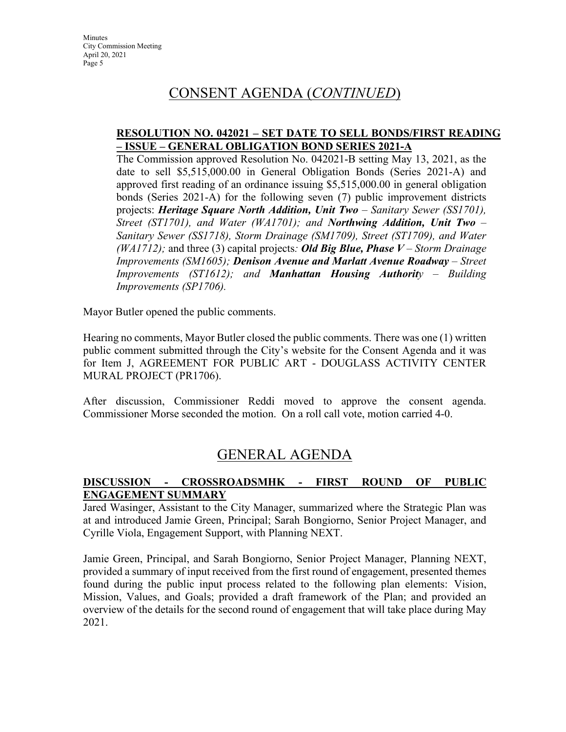# CONSENT AGENDA (*CONTINUED*)

#### **RESOLUTION NO. 042021 – SET DATE TO SELL BONDS/FIRST READING – ISSUE – GENERAL OBLIGATION BOND SERIES 2021-A**

The Commission approved Resolution No. 042021-B setting May 13, 2021, as the date to sell \$5,515,000.00 in General Obligation Bonds (Series 2021-A) and approved first reading of an ordinance issuing \$5,515,000.00 in general obligation bonds (Series 2021-A) for the following seven (7) public improvement districts projects: *Heritage Square North Addition, Unit Two – Sanitary Sewer (SS1701), Street (ST1701), and Water (WA1701); and Northwing Addition, Unit Two – Sanitary Sewer (SS1718), Storm Drainage (SM1709), Street (ST1709), and Water (WA1712);* and three (3) capital projects*: Old Big Blue, Phase V – Storm Drainage Improvements (SM1605); Denison Avenue and Marlatt Avenue Roadway – Street Improvements (ST1612); and Manhattan Housing Authority – Building Improvements (SP1706).*

Mayor Butler opened the public comments.

Hearing no comments, Mayor Butler closed the public comments. There was one (1) written public comment submitted through the City's website for the Consent Agenda and it was for Item J, AGREEMENT FOR PUBLIC ART - DOUGLASS ACTIVITY CENTER MURAL PROJECT (PR1706).

After discussion, Commissioner Reddi moved to approve the consent agenda. Commissioner Morse seconded the motion. On a roll call vote, motion carried 4-0.

# GENERAL AGENDA

### **DISCUSSION - CROSSROADSMHK - FIRST ROUND OF PUBLIC ENGAGEMENT SUMMARY**

Jared Wasinger, Assistant to the City Manager, summarized where the Strategic Plan was at and introduced Jamie Green, Principal; Sarah Bongiorno, Senior Project Manager, and Cyrille Viola, Engagement Support, with Planning NEXT.

Jamie Green, Principal, and Sarah Bongiorno, Senior Project Manager, Planning NEXT, provided a summary of input received from the first round of engagement, presented themes found during the public input process related to the following plan elements: Vision, Mission, Values, and Goals; provided a draft framework of the Plan; and provided an overview of the details for the second round of engagement that will take place during May 2021.